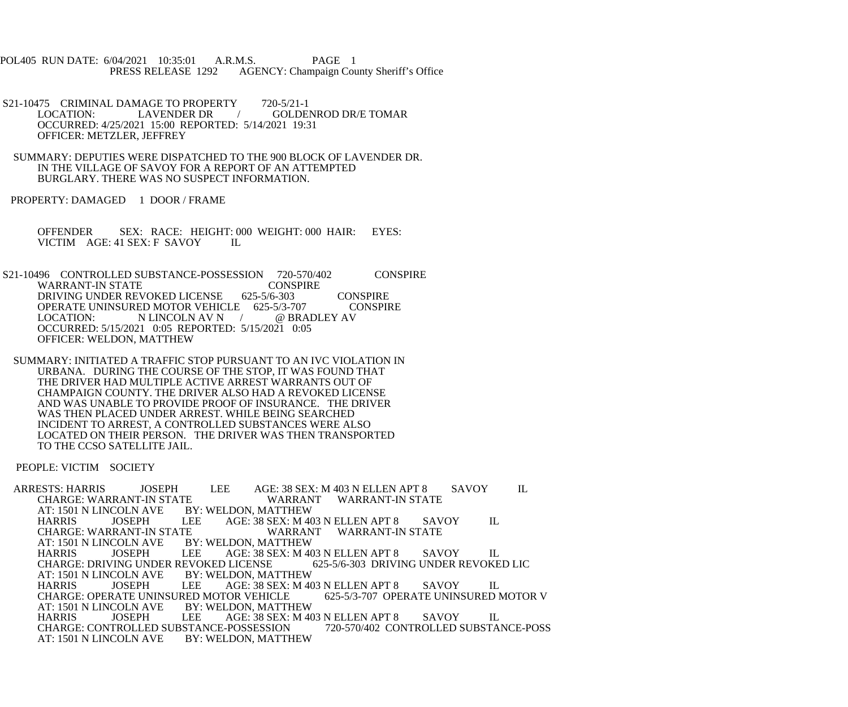POL405 RUN DATE: 6/04/2021 10:35:01 A.R.M.S. PAGE 1<br>PRESS RELEASE 1292 AGENCY: Champaign Cou AGENCY: Champaign County Sheriff's Office

S21-10475 CRIMINAL DAMAGE TO PROPERTY 720-5/21-1<br>LOCATION: LAVENDER DR / GOLDE LAVENDER DR / GOLDENROD DR/E TOMAR OCCURRED: 4/25/2021 15:00 REPORTED: 5/14/2021 19:31 OFFICER: METZLER, JEFFREY

 SUMMARY: DEPUTIES WERE DISPATCHED TO THE 900 BLOCK OF LAVENDER DR. IN THE VILLAGE OF SAVOY FOR A REPORT OF AN ATTEMPTED BURGLARY. THERE WAS NO SUSPECT INFORMATION.

PROPERTY: DAMAGED 1 DOOR / FRAME

 OFFENDER SEX: RACE: HEIGHT: 000 WEIGHT: 000 HAIR: EYES: VICTIM AGE: 41 SEX: F SAVOY IL

S21-10496 CONTROLLED SUBSTANCE-POSSESSION 720-570/402 CONSPIRE<br>WARRANT-IN STATE CONSPIRE WARRANT-IN STATE CONS<br>DRIVING UNDER REVOKED LICENSE 625-5/6-303 DRIVING UNDER REVOKED LICENSE 625-5/6-303 CONSPIRE OPERATE UNINSURED MOTOR VEHICLE 625-5/3-707 CONSPIRE LOCATION: N LINCOLN AV N / @ BRADLEY AV N LINCOLN AV N  $/$  OCCURRED: 5/15/2021 0:05 REPORTED: 5/15/2021 0:05 OFFICER: WELDON, MATTHEW

 SUMMARY: INITIATED A TRAFFIC STOP PURSUANT TO AN IVC VIOLATION IN URBANA. DURING THE COURSE OF THE STOP, IT WAS FOUND THAT THE DRIVER HAD MULTIPLE ACTIVE ARREST WARRANTS OUT OF CHAMPAIGN COUNTY. THE DRIVER ALSO HAD A REVOKED LICENSE AND WAS UNABLE TO PROVIDE PROOF OF INSURANCE. THE DRIVER WAS THEN PLACED UNDER ARREST. WHILE BEING SEARCHED INCIDENT TO ARREST, A CONTROLLED SUBSTANCES WERE ALSO LOCATED ON THEIR PERSON. THE DRIVER WAS THEN TRANSPORTED TO THE CCSO SATELLITE JAIL.

PEOPLE: VICTIM SOCIETY

 ARRESTS: HARRIS JOSEPH LEE AGE: 38 SEX: M 403 N ELLEN APT 8 SAVOY IL TE WARRANT WARRANT-IN STATE BY: WELDON, MATTHEW AT: 1501 N LINCOLN AVE BY:<br>HARRIS JOSEPH LEE HARRIS JOSEPH LEE AGE: 38 SEX: M 403 N ELLEN APT 8 SAVOY IL CHARGE: WARRANT-IN STATE WARRANT WARRANT-IN STATE CHARGE: WARRANT-IN STATE<br>AT: 1501 N LINCOLN AVE BY: WELDON, MATTHEW<br>LEE AGE: 38 SEX: M 40 HARRIS JOSEPH LEE AGE: 38 SEX: M 403 N ELLEN APT 8 SAVOY IL<br>CHARGE: DRIVING UNDER REVOKED LICENSE 625-5/6-303 DRIVING UNDER REVOKED LIC CHARGE: DRIVING UNDER REVOKED LICENSE<br>AT: 1501 N LINCOLN AVE BY: WELDON, MA AT: 1501 N LINCOLN AVE BY: WELDON, MATTHEW<br>HARRIS JOSEPH LEE AGE: 38 SEX: M 40 LEE AGE: 38 SEX: M 403 N ELLEN APT 8 SAVOY IL<br>RED MOTOR VEHICLE 625-5/3-707 OPERATE UNINSURED MOTOR V CHARGE: OPERATE UNINSURED MOTOR VEHICLE<br>AT: 1501 N LINCOLN AVE BY: WELDON, MATTHEW AT: 1501 N LINCOLN AVE BY:<br>HARRIS JOSEPH LEE AGE: 38 SEX: M 403 N ELLEN APT 8 SAVOY IL<br>-POSSESSION 720-570/402 CONTROLLED SUBSTANCE-POSS CHARGE: CONTROLLED SUBSTANCE-POSSESSION<br>AT: 1501 N LINCOLN AVE BY: WELDON. MATTH BY: WELDON, MATTHEW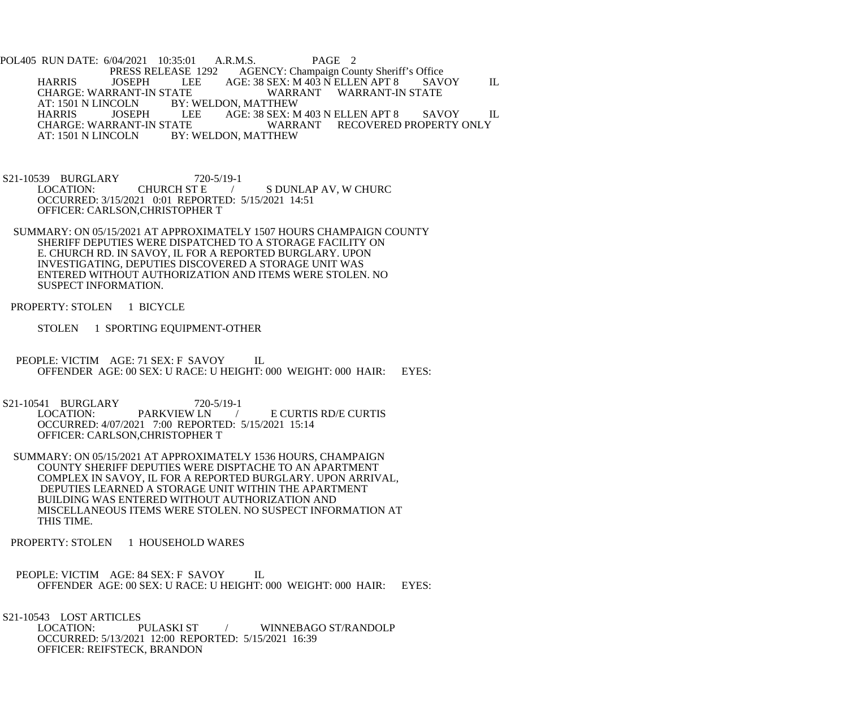POL405 RUN DATE: 6/04/2021 10:35:01 A.R.M.S. PAGE 2<br>PRESS RELEASE 1292 AGENCY: Champaign Cou PRESS RELEASE 1292 AGENCY: Champaign County Sheriff's Office<br>JOSEPH LEE AGE: 38 SEX: M 403 N ELLEN APT 8 SAV HARRIS JOSEPH LEE AGE: 38 SEX: M 403 N ELLEN APT 8 SAVOY IL CHARGE: WARRANT-IN STATE WARRANT WARRANT-IN STATE CHARGE: WARRANT-IN STATE WARRANT WARRANT-IN STATE AT: 1501 N LINCOLN BY: WELDON, MATTHEW AT: 1501 N LINCOLN BY: WELDON, MATTHEW<br>HARRIS JOSEPH LEE AGE: 38 SEX: N HARRIS JOSEPH LEE AGE: 38 SEX: M 403 N ELLEN APT 8 SAVOY IL CHARGE: WARRANT-IN STATE WARRANT RECOVERED PROPERTY ONLY CHARGE: WARRANT-IN STATE WARRANT RECOVERED PROPERTY ONLY<br>AT: 1501 N LINCOLN BY: WELDON. MATTHEW BY: WELDON, MATTHEW

S21-10539 BURGLARY 720-5/19-1<br>LOCATION: CHURCH ST E  $\angle$  S DUNLAP AV, W CHURC OCCURRED: 3/15/2021 0:01 REPORTED: 5/15/2021 14:51 OFFICER: CARLSON,CHRISTOPHER T

 SUMMARY: ON 05/15/2021 AT APPROXIMATELY 1507 HOURS CHAMPAIGN COUNTY SHERIFF DEPUTIES WERE DISPATCHED TO A STORAGE FACILITY ON E. CHURCH RD. IN SAVOY, IL FOR A REPORTED BURGLARY. UPON INVESTIGATING, DEPUTIES DISCOVERED A STORAGE UNIT WAS ENTERED WITHOUT AUTHORIZATION AND ITEMS WERE STOLEN. NO SUSPECT INFORMATION.

PROPERTY: STOLEN 1 BICYCLE

STOLEN 1 SPORTING EQUIPMENT-OTHER

PEOPLE: VICTIM AGE: 71 SEX: F SAVOY IL OFFENDER AGE: 00 SEX: U RACE: U HEIGHT: 000 WEIGHT: 000 HAIR: EYES:

S21-10541 BURGLARY 720-5/19-1<br>LOCATION: PARKVIEW LN LOCATION: PARKVIEW E CURTIS OCCURRED: 4/07/2021 7:00 REPORTED: 5/15/2021 15:14 OFFICER: CARLSON,CHRISTOPHER T

 SUMMARY: ON 05/15/2021 AT APPROXIMATELY 1536 HOURS, CHAMPAIGN COUNTY SHERIFF DEPUTIES WERE DISPTACHE TO AN APARTMENT COMPLEX IN SAVOY, IL FOR A REPORTED BURGLARY. UPON ARRIVAL, DEPUTIES LEARNED A STORAGE UNIT WITHIN THE APARTMENT BUILDING WAS ENTERED WITHOUT AUTHORIZATION AND MISCELLANEOUS ITEMS WERE STOLEN. NO SUSPECT INFORMATION AT THIS TIME.

PROPERTY: STOLEN 1 HOUSEHOLD WARES

PEOPLE: VICTIM AGE: 84 SEX: F SAVOY IL OFFENDER AGE: 00 SEX: U RACE: U HEIGHT: 000 WEIGHT: 000 HAIR: EYES:

S21-10543 LOST ARTICLES<br>LOCATION: PULASKI ST / WINNEBAGO ST/RANDOLP OCCURRED: 5/13/2021 12:00 REPORTED: 5/15/2021 16:39 OFFICER: REIFSTECK, BRANDON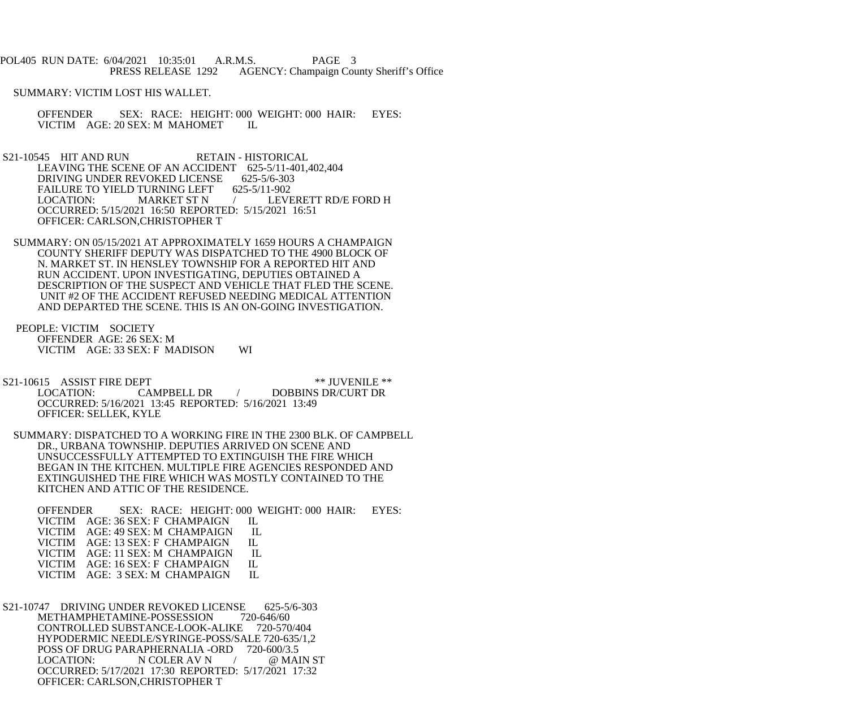POL405 RUN DATE: 6/04/2021 10:35:01 A.R.M.S. PAGE 3<br>PRESS RELEASE 1292 AGENCY: Champaign Cou AGENCY: Champaign County Sheriff's Office

SUMMARY: VICTIM LOST HIS WALLET.

 OFFENDER SEX: RACE: HEIGHT: 000 WEIGHT: 000 HAIR: EYES: VICTIM AGE: 20 SEX: M MAHOMET IL

S21-10545 HIT AND RUN RETAIN - HISTORICAL LEAVING THE SCENE OF AN ACCIDENT 625-5/11-401,402,404 DRIVING UNDER REVOKED LICENSE 625-5/6-303 FAILURE TO YIELD TURNING LEFT 625-5/11-902 LOCATION: MARKET ST N / LEVERETT RD/E FORD H OCCURRED: 5/15/2021 16:50 REPORTED: 5/15/2021 16:51 OFFICER: CARLSON,CHRISTOPHER T

 SUMMARY: ON 05/15/2021 AT APPROXIMATELY 1659 HOURS A CHAMPAIGN COUNTY SHERIFF DEPUTY WAS DISPATCHED TO THE 4900 BLOCK OF N. MARKET ST. IN HENSLEY TOWNSHIP FOR A REPORTED HIT AND RUN ACCIDENT. UPON INVESTIGATING, DEPUTIES OBTAINED A DESCRIPTION OF THE SUSPECT AND VEHICLE THAT FLED THE SCENE. UNIT #2 OF THE ACCIDENT REFUSED NEEDING MEDICAL ATTENTION AND DEPARTED THE SCENE. THIS IS AN ON-GOING INVESTIGATION.

 PEOPLE: VICTIM SOCIETY OFFENDER AGE: 26 SEX: M VICTIM AGE: 33 SEX: F MADISON WI

S21-10615 ASSIST FIRE DEPT \*\* JUVENILE \*\*<br>LOCATION: CAMPBELL DR / DOBBINS DR/CURT DR DOBBINS DR/CURT DR OCCURRED: 5/16/2021 13:45 REPORTED: 5/16/2021 13:49 OFFICER: SELLEK, KYLE

 SUMMARY: DISPATCHED TO A WORKING FIRE IN THE 2300 BLK. OF CAMPBELL DR., URBANA TOWNSHIP. DEPUTIES ARRIVED ON SCENE AND UNSUCCESSFULLY ATTEMPTED TO EXTINGUISH THE FIRE WHICH BEGAN IN THE KITCHEN. MULTIPLE FIRE AGENCIES RESPONDED AND EXTINGUISHED THE FIRE WHICH WAS MOSTLY CONTAINED TO THE KITCHEN AND ATTIC OF THE RESIDENCE.

OFFENDER SEX: RACE: HEIGHT: 000 WEIGHT: 000 HAIR: EYES:<br>VICTIM AGE: 36 SEX: F CHAMPAIGN IL VICTIM AGE: 36 SEX: F CHAMPAIGN IL<br>VICTIM AGE: 49 SEX: M CHAMPAIGN IL VICTIM AGE: 49 SEX: M CHAMPAIGN IL<br>VICTIM AGE: 13 SEX: F CHAMPAIGN IL VICTIM AGE: 13 SEX: F CHAMPAIGN IL<br>VICTIM AGE: 11 SEX: M CHAMPAIGN IL VICTIM AGE: 11 SEX: M CHAMPAIGN IL<br>VICTIM AGE: 16 SEX: F CHAMPAIGN IL VICTIM AGE: 16 SEX: F CHAMPAIGN IL<br>VICTIM AGE: 3 SEX: M CHAMPAIGN IL VICTIM AGE: 3 SEX: M CHAMPAIGN

S21-10747 DRIVING UNDER REVOKED LICENSE 625-5/6-303<br>METHAMPHETAMINE-POSSESSION 720-646/60 METHAMPHETAMINE-POSSESSION CONTROLLED SUBSTANCE-LOOK-ALIKE 720-570/404 HYPODERMIC NEEDLE/SYRINGE-POSS/SALE 720-635/1,2 POSS OF DRUG PARAPHERNALIA -ORD 720-600/3.5<br>LOCATION: N COLER AV N / @ MAIN ST  $N$  COLER AV N  $/$  OCCURRED: 5/17/2021 17:30 REPORTED: 5/17/2021 17:32 OFFICER: CARLSON,CHRISTOPHER T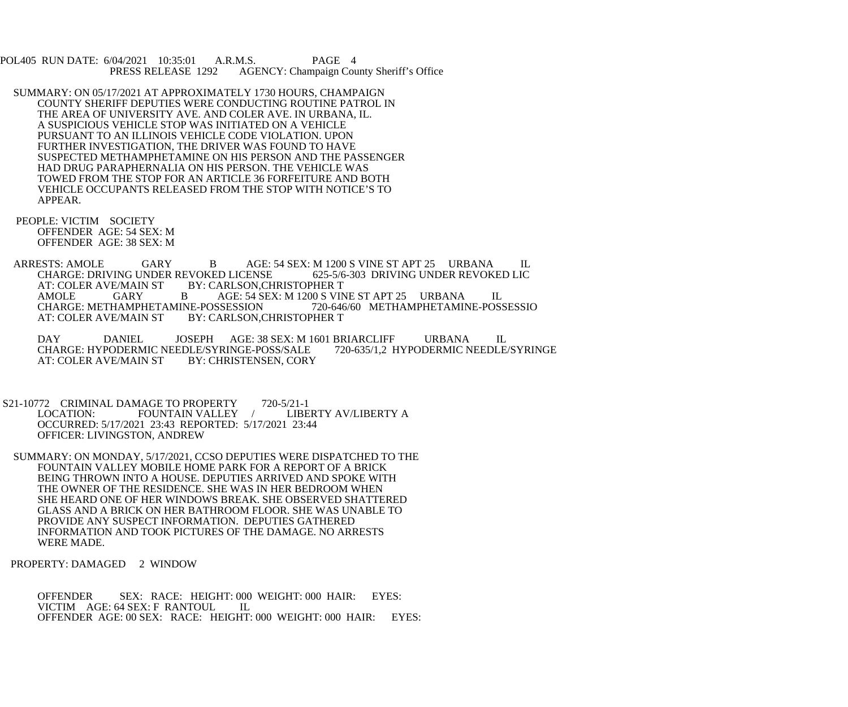POL405 RUN DATE: 6/04/2021 10:35:01 A.R.M.S. PAGE 4<br>PRESS RELEASE 1292 AGENCY: Champaign Cou AGENCY: Champaign County Sheriff's Office

- SUMMARY: ON 05/17/2021 AT APPROXIMATELY 1730 HOURS, CHAMPAIGN COUNTY SHERIFF DEPUTIES WERE CONDUCTING ROUTINE PATROL IN THE AREA OF UNIVERSITY AVE. AND COLER AVE. IN URBANA, IL. A SUSPICIOUS VEHICLE STOP WAS INITIATED ON A VEHICLE PURSUANT TO AN ILLINOIS VEHICLE CODE VIOLATION. UPON FURTHER INVESTIGATION, THE DRIVER WAS FOUND TO HAVE SUSPECTED METHAMPHETAMINE ON HIS PERSON AND THE PASSENGER HAD DRUG PARAPHERNALIA ON HIS PERSON. THE VEHICLE WAS TOWED FROM THE STOP FOR AN ARTICLE 36 FORFEITURE AND BOTH VEHICLE OCCUPANTS RELEASED FROM THE STOP WITH NOTICE'S TO APPEAR.
- PEOPLE: VICTIM SOCIETY OFFENDER AGE: 54 SEX: M OFFENDER AGE: 38 SEX: M
- ARRESTS: AMOLE GARY B AGE: 54 SEX: M 1200 S VINE ST APT 25 URBANA IL CHARGE: DRIVING UNDER REVOKED LICENSE 625-5/6-303 DRIVING UNDER REVOKED LIC CHARGE: DRIVING UNDER REVOKED LICENSE<br>AT: COLER AVE/MAIN ST BY: CARLSON.CH E/MAIN ST BY: CARLSON, CHRISTOPHER T<br>GARY B AGE: 54 SEX: M 1200 S VIN AMOLE GARY B AGE: 54 SEX: M 1200 S VINE ST APT 25 URBANA IL<br>CHARGE: METHAMPHETAMINE-POSSESSION 720-646/60 METHAMPHETAMINE-POSSESSIO CHARGE: METHAMPHETAMINE-POSSESSION AT: COLER AVE/MAIN ST BY: CARLSON, CHRISTOPHER T

DAY DANIEL JOSEPH AGE: 38 SEX: M 1601 BRIARCLIFF URBANA IL<br>CHARGE: HYPODERMIC NEEDLE/SYRINGE-POSS/SALE 720-635/1.2 HYPODERMIC NEEDLE/SYRINGE CHARGE: HYPODERMIC NEEDLE/SYRINGE-POSS/SALE AT: COLER AVE/MAIN ST BY: CHRISTENSEN, CORY

S21-10772 CRIMINAL DAMAGE TO PROPERTY 720-5/21-1<br>LOCATION: FOUNTAIN VALLEY / LIBERTY AV/LIBERTY A FOUNTAIN VALLEY / OCCURRED: 5/17/2021 23:43 REPORTED: 5/17/2021 23:44 OFFICER: LIVINGSTON, ANDREW

 SUMMARY: ON MONDAY, 5/17/2021, CCSO DEPUTIES WERE DISPATCHED TO THE FOUNTAIN VALLEY MOBILE HOME PARK FOR A REPORT OF A BRICK BEING THROWN INTO A HOUSE. DEPUTIES ARRIVED AND SPOKE WITH THE OWNER OF THE RESIDENCE. SHE WAS IN HER BEDROOM WHEN SHE HEARD ONE OF HER WINDOWS BREAK. SHE OBSERVED SHATTERED GLASS AND A BRICK ON HER BATHROOM FLOOR. SHE WAS UNABLE TO PROVIDE ANY SUSPECT INFORMATION. DEPUTIES GATHERED INFORMATION AND TOOK PICTURES OF THE DAMAGE. NO ARRESTS WERE MADE.

PROPERTY: DAMAGED 2 WINDOW

 OFFENDER SEX: RACE: HEIGHT: 000 WEIGHT: 000 HAIR: EYES: VICTIM AGE: 64 SEX: F RANTOUL IL OFFENDER AGE: 00 SEX: RACE: HEIGHT: 000 WEIGHT: 000 HAIR: EYES: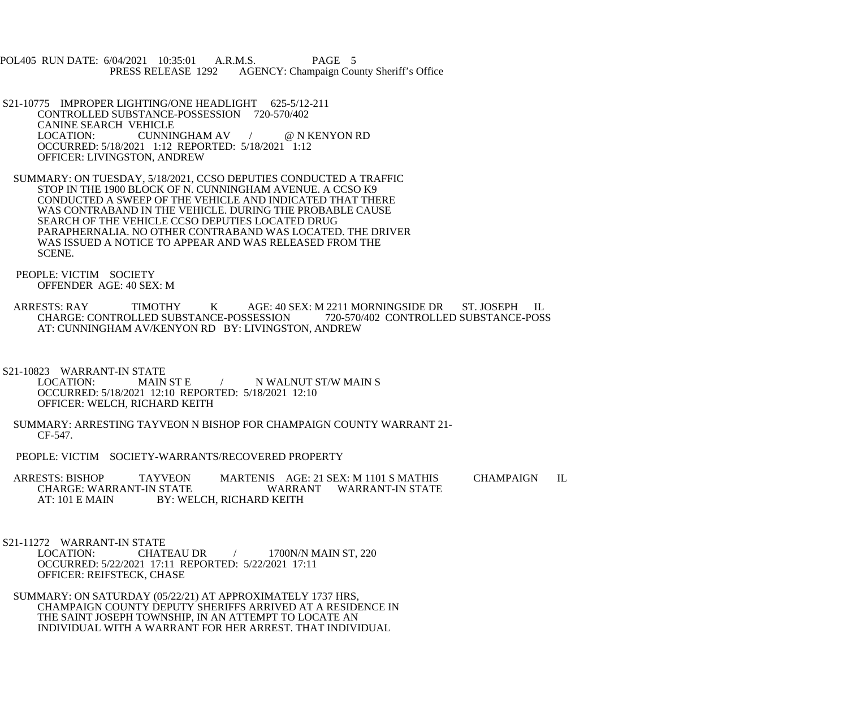POL405 RUN DATE: 6/04/2021 10:35:01 A.R.M.S. PAGE 5<br>PRESS RELEASE 1292 AGENCY: Champaign Cou AGENCY: Champaign County Sheriff's Office

S21-10775 IMPROPER LIGHTING/ONE HEADLIGHT 625-5/12-211 CONTROLLED SUBSTANCE-POSSESSION 720-570/402 CANINE SEARCH VEHICLE<br>LOCATION: CUNNIN CUNNINGHAM AV / @ N KENYON RD OCCURRED: 5/18/2021 1:12 REPORTED: 5/18/2021 1:12 OFFICER: LIVINGSTON, ANDREW

 SUMMARY: ON TUESDAY, 5/18/2021, CCSO DEPUTIES CONDUCTED A TRAFFIC STOP IN THE 1900 BLOCK OF N. CUNNINGHAM AVENUE. A CCSO K9 CONDUCTED A SWEEP OF THE VEHICLE AND INDICATED THAT THERE WAS CONTRABAND IN THE VEHICLE. DURING THE PROBABLE CAUSE SEARCH OF THE VEHICLE CCSO DEPUTIES LOCATED DRUG PARAPHERNALIA. NO OTHER CONTRABAND WAS LOCATED. THE DRIVER WAS ISSUED A NOTICE TO APPEAR AND WAS RELEASED FROM THE SCENE.

 PEOPLE: VICTIM SOCIETY OFFENDER AGE: 40 SEX: M

ARRESTS: RAY TIMOTHY K AGE: 40 SEX: M 2211 MORNINGSIDE DR ST. JOSEPH IL<br>CHARGE: CONTROLLED SUBSTANCE-POSSESSION 720-570/402 CONTROLLED SUBSTANCE-POSS CHARGE: CONTROLLED SUBSTANCE-POSSESSION AT: CUNNINGHAM AV/KENYON RD BY: LIVINGSTON, ANDREW

S21-10823 WARRANT-IN STATE<br>LOCATION: MAIN ST E

/ NWALNUT ST/W MAIN S OCCURRED: 5/18/2021 12:10 REPORTED: 5/18/2021 12:10 OFFICER: WELCH, RICHARD KEITH

 SUMMARY: ARRESTING TAYVEON N BISHOP FOR CHAMPAIGN COUNTY WARRANT 21- CF-547.

PEOPLE: VICTIM SOCIETY-WARRANTS/RECOVERED PROPERTY

ARRESTS: BISHOP TAYVEON MARTENIS AGE: 21 SEX: M 1101 S MATHIS CHAMPAIGN IL CHARGE: WARRANT WARRANT WARRANT-IN STATE CHARGE: WARRANT-IN STATE WARRANT WARRANT-IN STATE<br>AT: 101 E MAIN BY: WELCH. RICHARD KEITH BY: WELCH, RICHARD KEITH

S21-11272 WARRANT-IN STATE<br>LOCATION: CHAT

CHATEAU DR  $/$  1700N/N MAIN ST, 220 OCCURRED: 5/22/2021 17:11 REPORTED: 5/22/2021 17:11 OFFICER: REIFSTECK, CHASE

 SUMMARY: ON SATURDAY (05/22/21) AT APPROXIMATELY 1737 HRS, CHAMPAIGN COUNTY DEPUTY SHERIFFS ARRIVED AT A RESIDENCE IN THE SAINT JOSEPH TOWNSHIP, IN AN ATTEMPT TO LOCATE AN INDIVIDUAL WITH A WARRANT FOR HER ARREST. THAT INDIVIDUAL